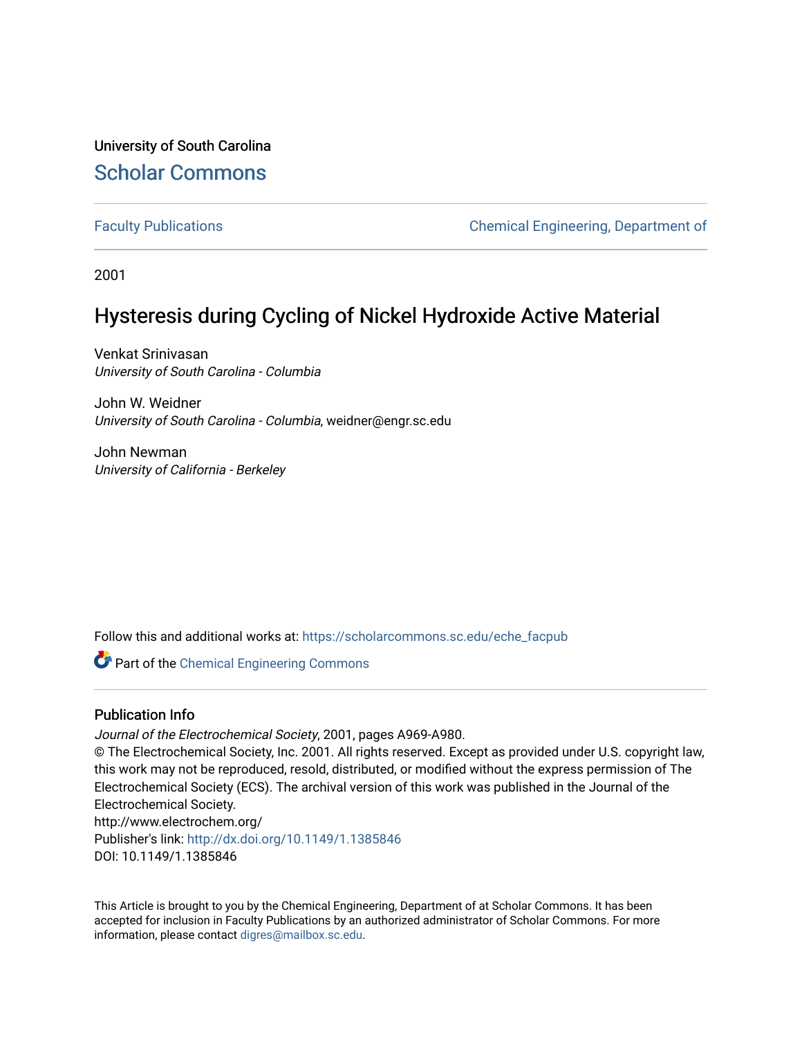University of South Carolina [Scholar Commons](https://scholarcommons.sc.edu/) 

[Faculty Publications](https://scholarcommons.sc.edu/eche_facpub) [Chemical Engineering, Department of](https://scholarcommons.sc.edu/eche) 

2001

# Hysteresis during Cycling of Nickel Hydroxide Active Material

Venkat Srinivasan University of South Carolina - Columbia

John W. Weidner University of South Carolina - Columbia, weidner@engr.sc.edu

John Newman University of California - Berkeley

Follow this and additional works at: [https://scholarcommons.sc.edu/eche\\_facpub](https://scholarcommons.sc.edu/eche_facpub?utm_source=scholarcommons.sc.edu%2Feche_facpub%2F111&utm_medium=PDF&utm_campaign=PDFCoverPages) 

Part of the [Chemical Engineering Commons](http://network.bepress.com/hgg/discipline/240?utm_source=scholarcommons.sc.edu%2Feche_facpub%2F111&utm_medium=PDF&utm_campaign=PDFCoverPages)

### Publication Info

Journal of the Electrochemical Society, 2001, pages A969-A980.

© The Electrochemical Society, Inc. 2001. All rights reserved. Except as provided under U.S. copyright law, this work may not be reproduced, resold, distributed, or modified without the express permission of The Electrochemical Society (ECS). The archival version of this work was published in the Journal of the Electrochemical Society.

http://www.electrochem.org/ Publisher's link: [http://dx.doi.org/10.1149/1.1385846](http://dx.doi.org.pallas2.tcl.sc.edu/10.1149/1.1385846)  DOI: 10.1149/1.1385846

This Article is brought to you by the Chemical Engineering, Department of at Scholar Commons. It has been accepted for inclusion in Faculty Publications by an authorized administrator of Scholar Commons. For more information, please contact [digres@mailbox.sc.edu.](mailto:digres@mailbox.sc.edu)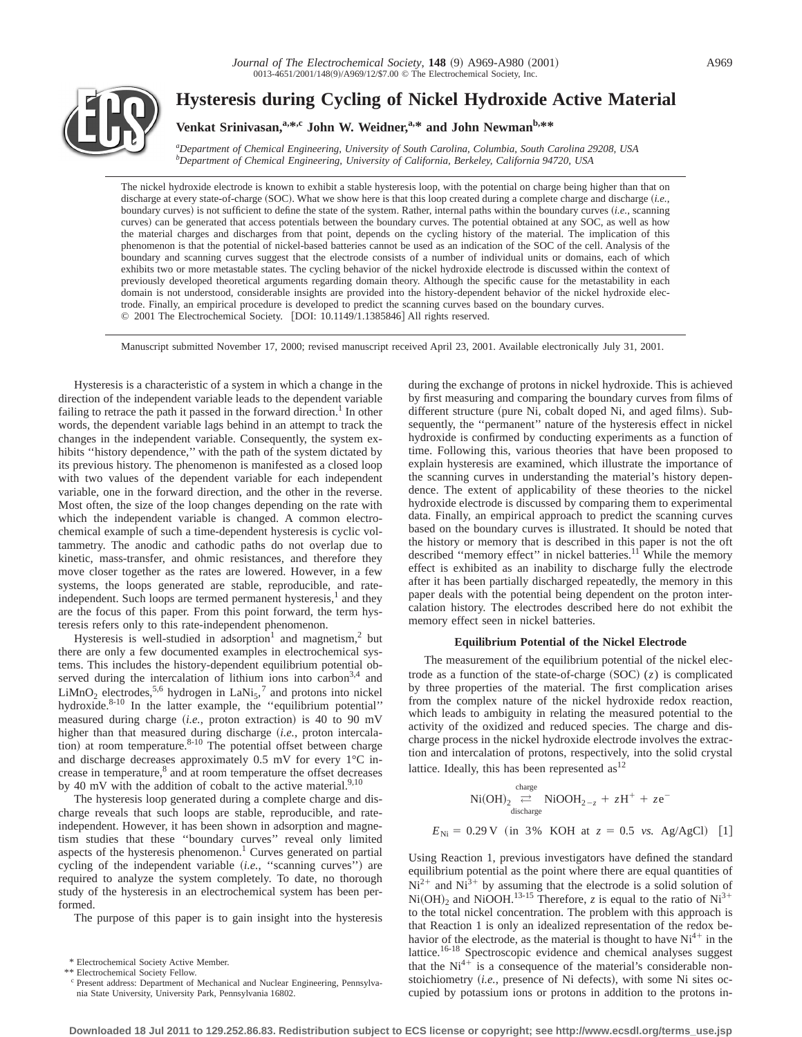

# **Hysteresis during Cycling of Nickel Hydroxide Active Material**

## Venkat Srinivasan,<sup>a,\*,c</sup> John W. Weidner,<sup>a,\*</sup> and John Newman<sup>b,\*\*</sup>

*a Department of Chemical Engineering, University of South Carolina, Columbia, South Carolina 29208, USA b Department of Chemical Engineering, University of California, Berkeley, California 94720, USA*

The nickel hydroxide electrode is known to exhibit a stable hysteresis loop, with the potential on charge being higher than that on discharge at every state-of-charge (SOC). What we show here is that this loop created during a complete charge and discharge (*i.e.*, boundary curves) is not sufficient to define the state of the system. Rather, internal paths within the boundary curves (*i.e.*, scanning curves) can be generated that access potentials between the boundary curves. The potential obtained at any SOC, as well as how the material charges and discharges from that point, depends on the cycling history of the material. The implication of this phenomenon is that the potential of nickel-based batteries cannot be used as an indication of the SOC of the cell. Analysis of the boundary and scanning curves suggest that the electrode consists of a number of individual units or domains, each of which exhibits two or more metastable states. The cycling behavior of the nickel hydroxide electrode is discussed within the context of previously developed theoretical arguments regarding domain theory. Although the specific cause for the metastability in each domain is not understood, considerable insights are provided into the history-dependent behavior of the nickel hydroxide electrode. Finally, an empirical procedure is developed to predict the scanning curves based on the boundary curves. © 2001 The Electrochemical Society. [DOI: 10.1149/1.1385846] All rights reserved.

Manuscript submitted November 17, 2000; revised manuscript received April 23, 2001. Available electronically July 31, 2001.

Hysteresis is a characteristic of a system in which a change in the direction of the independent variable leads to the dependent variable failing to retrace the path it passed in the forward direction.<sup>1</sup> In other words, the dependent variable lags behind in an attempt to track the changes in the independent variable. Consequently, the system exhibits ''history dependence,'' with the path of the system dictated by its previous history. The phenomenon is manifested as a closed loop with two values of the dependent variable for each independent variable, one in the forward direction, and the other in the reverse. Most often, the size of the loop changes depending on the rate with which the independent variable is changed. A common electrochemical example of such a time-dependent hysteresis is cyclic voltammetry. The anodic and cathodic paths do not overlap due to kinetic, mass-transfer, and ohmic resistances, and therefore they move closer together as the rates are lowered. However, in a few systems, the loops generated are stable, reproducible, and rateindependent. Such loops are termed permanent hysteresis, $<sup>1</sup>$  and they</sup> are the focus of this paper. From this point forward, the term hysteresis refers only to this rate-independent phenomenon.

Hysteresis is well-studied in adsorption<sup>1</sup> and magnetism,<sup>2</sup> but there are only a few documented examples in electrochemical systems. This includes the history-dependent equilibrium potential observed during the intercalation of lithium ions into carbon  $3,4$  and LiMnO<sub>2</sub> electrodes,<sup>5,6</sup> hydrogen in LaNi<sub>5</sub>,<sup>7</sup> and protons into nickel hydroxide.<sup>8-10</sup> In the latter example, the "equilibrium potential" measured during charge (i.e., proton extraction) is 40 to 90 mV higher than that measured during discharge (i.e., proton intercala $t_i$ ,  $t_i$ ,  $t_i$ ,  $t_i$ ,  $t_i$ ,  $t_i$ ,  $t_i$ ,  $t_i$ ,  $t_i$ ,  $t_i$ ,  $t_i$ ,  $t_i$ ,  $t_i$ ,  $t_i$ ,  $t_i$ ,  $t_i$ ,  $t_i$ ,  $t_i$ ,  $t_i$ ,  $t_i$ ,  $t_i$ ,  $t_i$ ,  $t_i$ ,  $t_i$ ,  $t_i$ ,  $t_i$ ,  $t_i$ ,  $t_i$ ,  $t_i$ ,  $t_i$ ,  $t_i$ ,  $t_i$ ,  $t_i$ ,  $t_i$ ,  $t_i$ ,  $t_i$ ,  $t_i$ , and discharge decreases approximately 0.5 mV for every 1°C increase in temperature,<sup>8</sup> and at room temperature the offset decreases by 40 mV with the addition of cobalt to the active material. $9,10$ 

The hysteresis loop generated during a complete charge and discharge reveals that such loops are stable, reproducible, and rateindependent. However, it has been shown in adsorption and magnetism studies that these ''boundary curves'' reveal only limited aspects of the hysteresis phenomenon.<sup>1</sup> Curves generated on partial cycling of the independent variable  $(i.e.,$  "scanning curves") are required to analyze the system completely. To date, no thorough study of the hysteresis in an electrochemical system has been performed.

The purpose of this paper is to gain insight into the hysteresis

during the exchange of protons in nickel hydroxide. This is achieved by first measuring and comparing the boundary curves from films of different structure (pure Ni, cobalt doped Ni, and aged films). Subsequently, the ''permanent'' nature of the hysteresis effect in nickel hydroxide is confirmed by conducting experiments as a function of time. Following this, various theories that have been proposed to explain hysteresis are examined, which illustrate the importance of the scanning curves in understanding the material's history dependence. The extent of applicability of these theories to the nickel hydroxide electrode is discussed by comparing them to experimental data. Finally, an empirical approach to predict the scanning curves based on the boundary curves is illustrated. It should be noted that the history or memory that is described in this paper is not the oft described "memory effect" in nickel batteries.<sup>11</sup> While the memory effect is exhibited as an inability to discharge fully the electrode after it has been partially discharged repeatedly, the memory in this paper deals with the potential being dependent on the proton intercalation history. The electrodes described here do not exhibit the memory effect seen in nickel batteries.

#### **Equilibrium Potential of the Nickel Electrode**

The measurement of the equilibrium potential of the nickel electrode as a function of the state-of-charge  $(SOC)$   $(z)$  is complicated by three properties of the material. The first complication arises from the complex nature of the nickel hydroxide redox reaction, which leads to ambiguity in relating the measured potential to the activity of the oxidized and reduced species. The charge and discharge process in the nickel hydroxide electrode involves the extraction and intercalation of protons, respectively, into the solid crystal lattice. Ideally, this has been represented  $as<sup>12</sup>$ 

$$
\text{Ni(OH)}_2 \underset{\text{discharge}}{\rightleftharpoons} \text{NiOOH}_{2-z} + zH^+ + ze^-
$$
\n
$$
E_{\text{Ni}} = 0.29 \text{ V (in 3\% KOH at } z = 0.5 \text{ vs. Ag/AgCl)} [1]
$$

Using Reaction 1, previous investigators have defined the standard equilibrium potential as the point where there are equal quantities of  $Ni<sup>2+</sup>$  and  $Ni<sup>3+</sup>$  by assuming that the electrode is a solid solution of  $Ni(OH)_2$  and NiOOH.<sup>13-15</sup> Therefore, *z* is equal to the ratio of Ni<sup>3+</sup> to the total nickel concentration. The problem with this approach is that Reaction 1 is only an idealized representation of the redox behavior of the electrode, as the material is thought to have  $Ni<sup>4+</sup>$  in the lattice.<sup>16-18</sup> Spectroscopic evidence and chemical analyses suggest that the  $Ni<sup>4+</sup>$  is a consequence of the material's considerable nonstoichiometry (i.e., presence of Ni defects), with some Ni sites occupied by potassium ions or protons in addition to the protons in-

<sup>\*</sup> Electrochemical Society Active Member.

<sup>\*\*</sup> Electrochemical Society Fellow.

<sup>c</sup> Present address: Department of Mechanical and Nuclear Engineering, Pennsylvania State University, University Park, Pennsylvania 16802.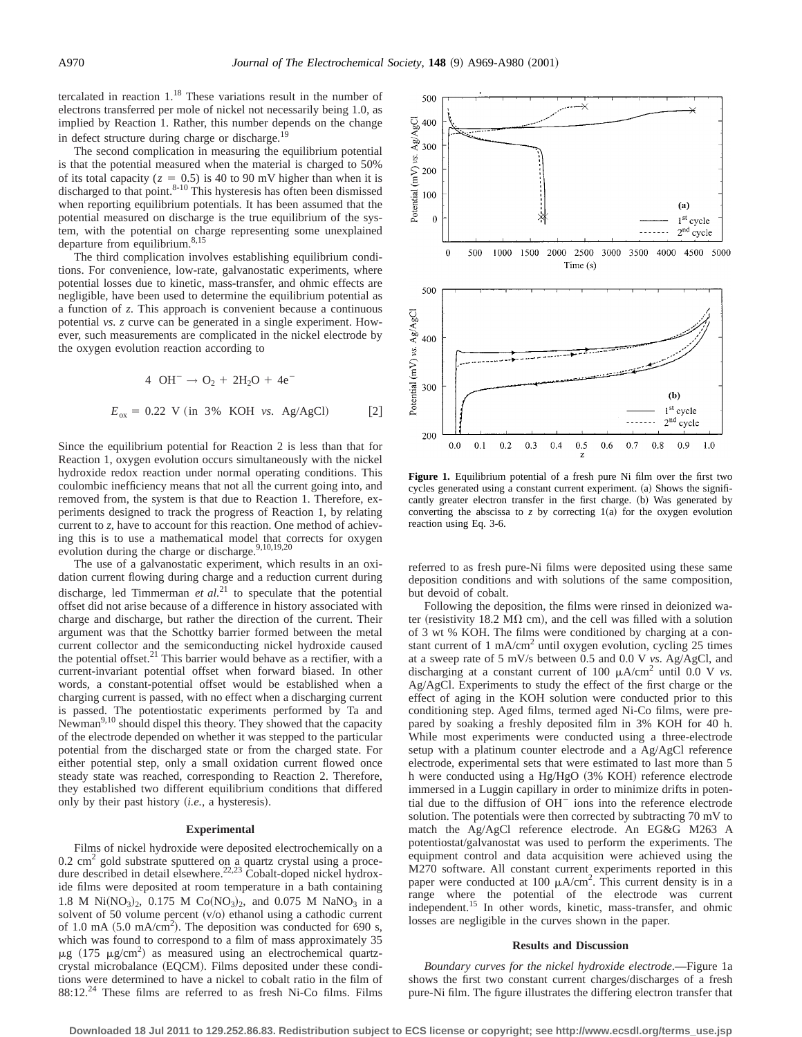tercalated in reaction 1.18 These variations result in the number of electrons transferred per mole of nickel not necessarily being 1.0, as implied by Reaction 1. Rather, this number depends on the change in defect structure during charge or discharge. $^{19}$ 

The second complication in measuring the equilibrium potential is that the potential measured when the material is charged to 50% of its total capacity ( $z = 0.5$ ) is 40 to 90 mV higher than when it is discharged to that point.<sup>8-10</sup> This hysteresis has often been dismissed when reporting equilibrium potentials. It has been assumed that the potential measured on discharge is the true equilibrium of the system, with the potential on charge representing some unexplained departure from equilibrium.<sup>8,15</sup>

The third complication involves establishing equilibrium conditions. For convenience, low-rate, galvanostatic experiments, where potential losses due to kinetic, mass-transfer, and ohmic effects are negligible, have been used to determine the equilibrium potential as a function of *z*. This approach is convenient because a continuous potential *vs. z* curve can be generated in a single experiment. However, such measurements are complicated in the nickel electrode by the oxygen evolution reaction according to

$$
4 \text{ OH}^- \rightarrow \text{O}_2 + 2\text{H}_2\text{O} + 4\text{e}^-
$$
  

$$
E_{ox} = 0.22 \text{ V (in 3\% KOH vs. Ag/AgCl)} \qquad [2]
$$

Since the equilibrium potential for Reaction 2 is less than that for Reaction 1, oxygen evolution occurs simultaneously with the nickel hydroxide redox reaction under normal operating conditions. This coulombic inefficiency means that not all the current going into, and removed from, the system is that due to Reaction 1. Therefore, experiments designed to track the progress of Reaction 1, by relating current to *z*, have to account for this reaction. One method of achieving this is to use a mathematical model that corrects for oxygen evolution during the charge or discharge. $9,10,19,20$ 

The use of a galvanostatic experiment, which results in an oxidation current flowing during charge and a reduction current during discharge, led Timmerman *et al.*<sup>21</sup> to speculate that the potential offset did not arise because of a difference in history associated with charge and discharge, but rather the direction of the current. Their argument was that the Schottky barrier formed between the metal current collector and the semiconducting nickel hydroxide caused the potential offset.<sup>21</sup> This barrier would behave as a rectifier, with a current-invariant potential offset when forward biased. In other words, a constant-potential offset would be established when a charging current is passed, with no effect when a discharging current is passed. The potentiostatic experiments performed by Ta and Newman9,10 should dispel this theory. They showed that the capacity of the electrode depended on whether it was stepped to the particular potential from the discharged state or from the charged state. For either potential step, only a small oxidation current flowed once steady state was reached, corresponding to Reaction 2. Therefore, they established two different equilibrium conditions that differed only by their past history *(i.e.*, a hysteresis).

#### **Experimental**

Films of nickel hydroxide were deposited electrochemically on a 0.2 cm2 gold substrate sputtered on a quartz crystal using a procedure described in detail elsewhere.<sup>22,23</sup> Cobalt-doped nickel hydroxide films were deposited at room temperature in a bath containing 1.8 M Ni(NO<sub>3</sub>)<sub>2</sub>, 0.175 M Co(NO<sub>3</sub>)<sub>2</sub>, and 0.075 M NaNO<sub>3</sub> in a solvent of 50 volume percent  $(v/\sigma)$  ethanol using a cathodic current of 1.0 mA  $(5.0 \text{ mA/cm}^2)$ . The deposition was conducted for 690 s, which was found to correspond to a film of mass approximately 35  $\mu$ g (175  $\mu$ g/cm<sup>2</sup>) as measured using an electrochemical quartzcrystal microbalance (EQCM). Films deposited under these conditions were determined to have a nickel to cobalt ratio in the film of  $88:12.^{24}$  These films are referred to as fresh Ni-Co films. Films



**Figure 1.** Equilibrium potential of a fresh pure Ni film over the first two cycles generated using a constant current experiment. (a) Shows the significantly greater electron transfer in the first charge. (b) Was generated by converting the abscissa to  $z$  by correcting  $1(a)$  for the oxygen evolution reaction using Eq. 3-6.

referred to as fresh pure-Ni films were deposited using these same deposition conditions and with solutions of the same composition, but devoid of cobalt.

Following the deposition, the films were rinsed in deionized water (resistivity 18.2 M $\Omega$  cm), and the cell was filled with a solution of 3 wt % KOH. The films were conditioned by charging at a constant current of 1 mA/cm<sup>2</sup> until oxygen evolution, cycling 25 times at a sweep rate of 5 mV/s between 0.5 and 0.0 V *vs.* Ag/AgCl, and discharging at a constant current of 100  $\mu$ A/cm<sup>2</sup> until 0.0 V *vs.* Ag/AgCl. Experiments to study the effect of the first charge or the effect of aging in the KOH solution were conducted prior to this conditioning step. Aged films, termed aged Ni-Co films, were prepared by soaking a freshly deposited film in 3% KOH for 40 h. While most experiments were conducted using a three-electrode setup with a platinum counter electrode and a Ag/AgCl reference electrode, experimental sets that were estimated to last more than 5 h were conducted using a Hg/HgO (3% KOH) reference electrode immersed in a Luggin capillary in order to minimize drifts in potential due to the diffusion of  $OH^-$  ions into the reference electrode solution. The potentials were then corrected by subtracting 70 mV to match the Ag/AgCl reference electrode. An EG&G M263 A potentiostat/galvanostat was used to perform the experiments. The equipment control and data acquisition were achieved using the M270 software. All constant current experiments reported in this paper were conducted at 100  $\mu A/cm^2$ . This current density is in a range where the potential of the electrode was current independent.15 In other words, kinetic, mass-transfer, and ohmic losses are negligible in the curves shown in the paper.

#### **Results and Discussion**

*Boundary curves for the nickel hydroxide electrode*.—Figure 1a shows the first two constant current charges/discharges of a fresh pure-Ni film. The figure illustrates the differing electron transfer that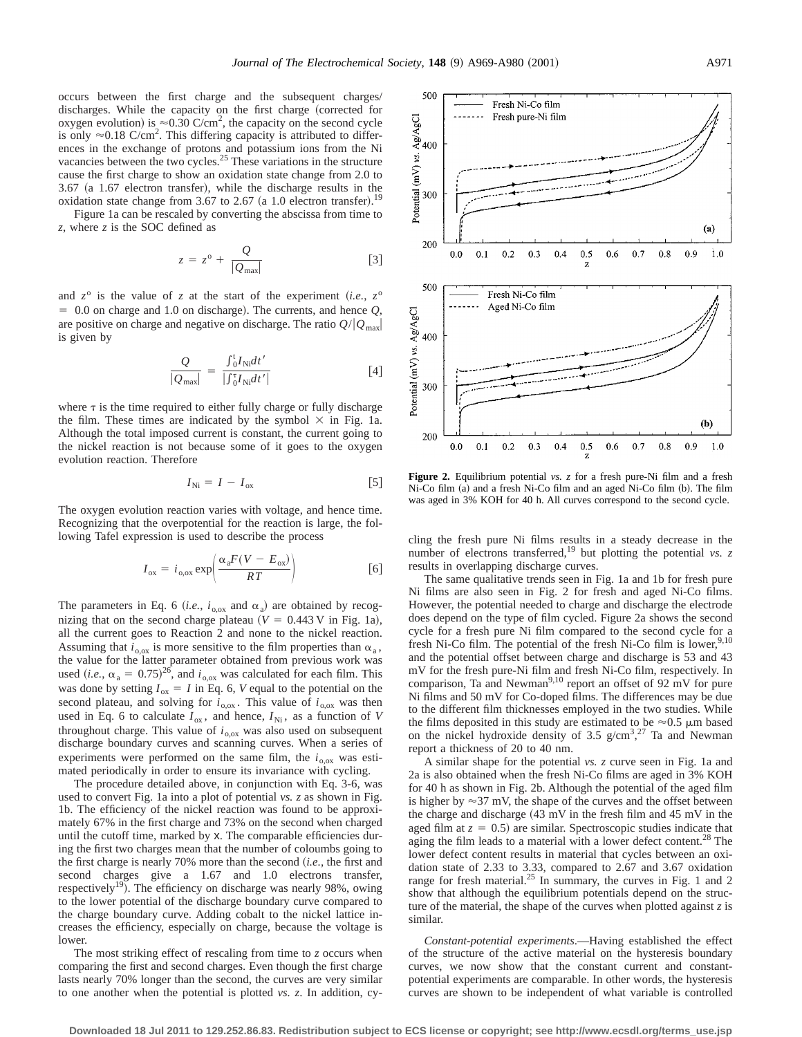occurs between the first charge and the subsequent charges/ discharges. While the capacity on the first charge (corrected for oxygen evolution) is  $\approx 0.30$  C/cm<sup>2</sup>, the capacity on the second cycle is only  $\approx 0.18$  C/cm<sup>2</sup>. This differing capacity is attributed to differences in the exchange of protons and potassium ions from the Ni vacancies between the two cycles.<sup>25</sup> These variations in the structure cause the first charge to show an oxidation state change from 2.0 to  $3.67$  (a  $1.67$  electron transfer), while the discharge results in the oxidation state change from  $3.67$  to  $2.67$  (a 1.0 electron transfer).<sup>19</sup>

Figure 1a can be rescaled by converting the abscissa from time to *z*, where *z* is the SOC defined as

$$
z = z^{\circ} + \frac{Q}{|Q_{\text{max}}|}
$$
 [3]

and  $z^{\circ}$  is the value of *z* at the start of the experiment (*i.e.*,  $z^{\circ}$  $= 0.0$  on charge and 1.0 on discharge). The currents, and hence  $Q$ , are positive on charge and negative on discharge. The ratio  $Q/|Q_{\text{max}}|$ is given by

$$
\frac{Q}{|Q_{\text{max}}|} = \frac{\int_0^t J_{\text{Ni}} dt'}{\left| \int_0^{\tau} J_{\text{Ni}} dt' \right|}
$$
 [4]

where  $\tau$  is the time required to either fully charge or fully discharge the film. These times are indicated by the symbol  $\times$  in Fig. 1a. Although the total imposed current is constant, the current going to the nickel reaction is not because some of it goes to the oxygen evolution reaction. Therefore

$$
I_{\rm Ni} = I - I_{\rm ox} \tag{5}
$$

The oxygen evolution reaction varies with voltage, and hence time. Recognizing that the overpotential for the reaction is large, the following Tafel expression is used to describe the process

$$
I_{ox} = i_{o,ox} \exp\left(\frac{\alpha_a F(V - E_{ox})}{RT}\right)
$$
 [6]

The parameters in Eq. 6 (*i.e.*,  $i_{0.0x}$  and  $\alpha_a$ ) are obtained by recognizing that on the second charge plateau  $(V = 0.443 V$  in Fig. 1a), all the current goes to Reaction 2 and none to the nickel reaction. Assuming that  $i_{0.0x}$  is more sensitive to the film properties than  $\alpha_a$ , the value for the latter parameter obtained from previous work was used (*i.e.*,  $\alpha_a = (0.75)^{26}$ , and  $i_{o,ox}$  was calculated for each film. This was done by setting  $I_{ox} = I$  in Eq. 6, *V* equal to the potential on the second plateau, and solving for  $i_{0,0x}$ . This value of  $i_{0,0x}$  was then used in Eq. 6 to calculate  $I_{ox}$ , and hence,  $I_{Ni}$ , as a function of *V* throughout charge. This value of  $i_{0,0x}$  was also used on subsequent discharge boundary curves and scanning curves. When a series of experiments were performed on the same film, the  $i_{0,0x}$  was estimated periodically in order to ensure its invariance with cycling.

The procedure detailed above, in conjunction with Eq. 3-6, was used to convert Fig. 1a into a plot of potential *vs. z* as shown in Fig. 1b. The efficiency of the nickel reaction was found to be approximately 67% in the first charge and 73% on the second when charged until the cutoff time, marked by x. The comparable efficiencies during the first two charges mean that the number of coloumbs going to the first charge is nearly  $70\%$  more than the second  $(i.e.,$  the first and second charges give a 1.67 and 1.0 electrons transfer, respectively<sup>19</sup>. The efficiency on discharge was nearly 98%, owing to the lower potential of the discharge boundary curve compared to the charge boundary curve. Adding cobalt to the nickel lattice increases the efficiency, especially on charge, because the voltage is lower.

The most striking effect of rescaling from time to *z* occurs when comparing the first and second charges. Even though the first charge lasts nearly 70% longer than the second, the curves are very similar to one another when the potential is plotted *vs. z*. In addition, cy**Figure 2.** Equilibrium potential *vs. z* for a fresh pure-Ni film and a fresh Ni-Co film (a) and a fresh Ni-Co film and an aged Ni-Co film (b). The film was aged in 3% KOH for 40 h. All curves correspond to the second cycle.

cling the fresh pure Ni films results in a steady decrease in the number of electrons transferred,<sup>19</sup> but plotting the potential *vs.* z results in overlapping discharge curves.

The same qualitative trends seen in Fig. 1a and 1b for fresh pure Ni films are also seen in Fig. 2 for fresh and aged Ni-Co films. However, the potential needed to charge and discharge the electrode does depend on the type of film cycled. Figure 2a shows the second cycle for a fresh pure Ni film compared to the second cycle for a fresh Ni-Co film. The potential of the fresh Ni-Co film is lower, 9,10 and the potential offset between charge and discharge is 53 and 43 mV for the fresh pure-Ni film and fresh Ni-Co film, respectively. In comparison, Ta and Newman<sup>9,10</sup> report an offset of 92 mV for pure Ni films and 50 mV for Co-doped films. The differences may be due to the different film thicknesses employed in the two studies. While the films deposited in this study are estimated to be  $\approx 0.5$  µm based on the nickel hydroxide density of 3.5  $g/cm<sup>3</sup>,<sup>27</sup>$  Ta and Newman report a thickness of 20 to 40 nm.

A similar shape for the potential *vs. z* curve seen in Fig. 1a and 2a is also obtained when the fresh Ni-Co films are aged in 3% KOH for 40 h as shown in Fig. 2b. Although the potential of the aged film is higher by  $\approx$  37 mV, the shape of the curves and the offset between the charge and discharge  $(43 \text{ mV}$  in the fresh film and  $45 \text{ mV}$  in the aged film at  $z = 0.5$ ) are similar. Spectroscopic studies indicate that aging the film leads to a material with a lower defect content.<sup>28</sup> The lower defect content results in material that cycles between an oxidation state of 2.33 to 3.33, compared to 2.67 and 3.67 oxidation range for fresh material.<sup>25</sup> In summary, the curves in Fig. 1 and 2 show that although the equilibrium potentials depend on the structure of the material, the shape of the curves when plotted against *z* is similar.

*Constant-potential experiments*.—Having established the effect of the structure of the active material on the hysteresis boundary curves, we now show that the constant current and constantpotential experiments are comparable. In other words, the hysteresis curves are shown to be independent of what variable is controlled

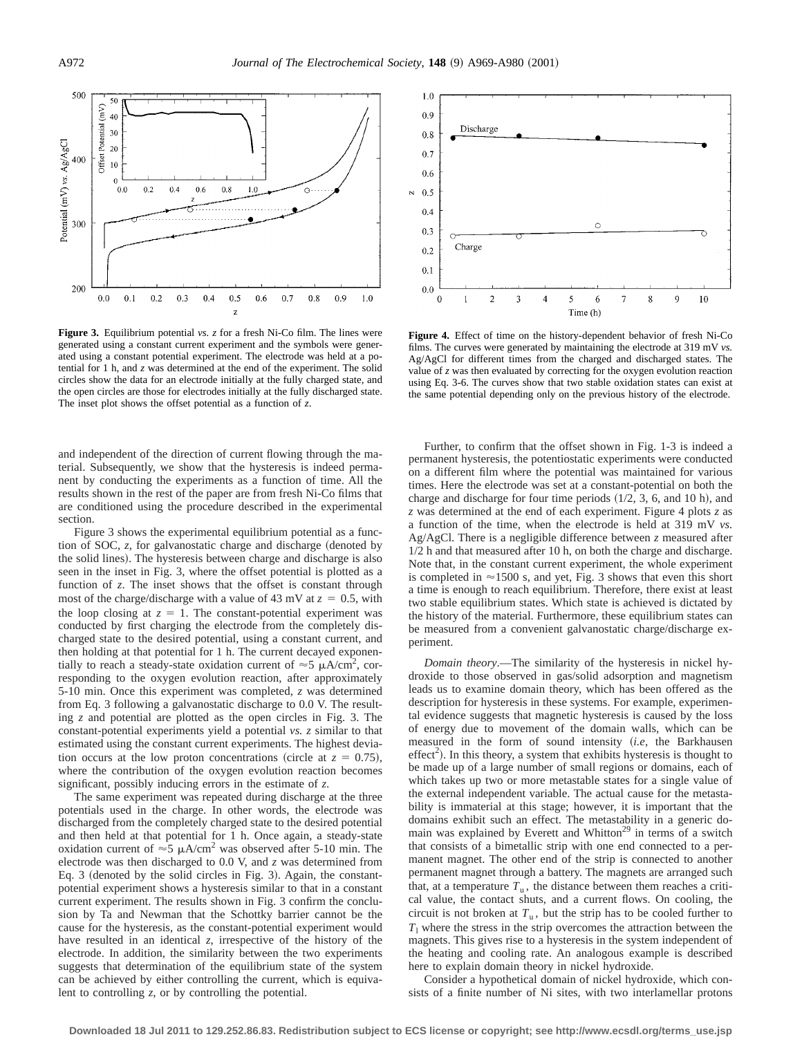

**Figure 3.** Equilibrium potential *vs. z* for a fresh Ni-Co film. The lines were generated using a constant current experiment and the symbols were generated using a constant potential experiment. The electrode was held at a potential for 1 h, and *z* was determined at the end of the experiment. The solid circles show the data for an electrode initially at the fully charged state, and the open circles are those for electrodes initially at the fully discharged state. The inset plot shows the offset potential as a function of *z*.

and independent of the direction of current flowing through the material. Subsequently, we show that the hysteresis is indeed permanent by conducting the experiments as a function of time. All the results shown in the rest of the paper are from fresh Ni-Co films that are conditioned using the procedure described in the experimental section.

Figure 3 shows the experimental equilibrium potential as a function of SOC, *z*, for galvanostatic charge and discharge (denoted by the solid lines). The hysteresis between charge and discharge is also seen in the inset in Fig. 3, where the offset potential is plotted as a function of *z*. The inset shows that the offset is constant through most of the charge/discharge with a value of 43 mV at  $z = 0.5$ , with the loop closing at  $z = 1$ . The constant-potential experiment was conducted by first charging the electrode from the completely discharged state to the desired potential, using a constant current, and then holding at that potential for 1 h. The current decayed exponentially to reach a steady-state oxidation current of  $\approx$  5  $\mu$ A/cm<sup>2</sup>, corresponding to the oxygen evolution reaction, after approximately 5-10 min. Once this experiment was completed, *z* was determined from Eq. 3 following a galvanostatic discharge to 0.0 V. The resulting *z* and potential are plotted as the open circles in Fig. 3. The constant-potential experiments yield a potential *vs. z* similar to that estimated using the constant current experiments. The highest deviation occurs at the low proton concentrations (circle at  $z = 0.75$ ), where the contribution of the oxygen evolution reaction becomes significant, possibly inducing errors in the estimate of *z*.

The same experiment was repeated during discharge at the three potentials used in the charge. In other words, the electrode was discharged from the completely charged state to the desired potential and then held at that potential for 1 h. Once again, a steady-state oxidation current of  $\approx$  5  $\mu$ A/cm<sup>2</sup> was observed after 5-10 min. The electrode was then discharged to 0.0 V, and *z* was determined from Eq. 3 (denoted by the solid circles in Fig. 3). Again, the constantpotential experiment shows a hysteresis similar to that in a constant current experiment. The results shown in Fig. 3 confirm the conclusion by Ta and Newman that the Schottky barrier cannot be the cause for the hysteresis, as the constant-potential experiment would have resulted in an identical *z*, irrespective of the history of the electrode. In addition, the similarity between the two experiments suggests that determination of the equilibrium state of the system can be achieved by either controlling the current, which is equivalent to controlling *z*, or by controlling the potential.



**Figure 4.** Effect of time on the history-dependent behavior of fresh Ni-Co films. The curves were generated by maintaining the electrode at 319 mV *vs.* Ag/AgCl for different times from the charged and discharged states. The value of *z* was then evaluated by correcting for the oxygen evolution reaction using Eq. 3-6. The curves show that two stable oxidation states can exist at the same potential depending only on the previous history of the electrode.

Further, to confirm that the offset shown in Fig. 1-3 is indeed a permanent hysteresis, the potentiostatic experiments were conducted on a different film where the potential was maintained for various times. Here the electrode was set at a constant-potential on both the charge and discharge for four time periods  $(1/2, 3, 6, 4$  and 10 h), and *z* was determined at the end of each experiment. Figure 4 plots *z* as a function of the time, when the electrode is held at 319 mV *vs.* Ag/AgCl. There is a negligible difference between *z* measured after 1/2 h and that measured after 10 h, on both the charge and discharge. Note that, in the constant current experiment, the whole experiment is completed in  $\approx$  1500 s, and yet, Fig. 3 shows that even this short a time is enough to reach equilibrium. Therefore, there exist at least two stable equilibrium states. Which state is achieved is dictated by the history of the material. Furthermore, these equilibrium states can be measured from a convenient galvanostatic charge/discharge experiment.

*Domain theory*.—The similarity of the hysteresis in nickel hydroxide to those observed in gas/solid adsorption and magnetism leads us to examine domain theory, which has been offered as the description for hysteresis in these systems. For example, experimental evidence suggests that magnetic hysteresis is caused by the loss of energy due to movement of the domain walls, which can be measured in the form of sound intensity (*i.e.*, the Barkhausen effect<sup>2</sup>). In this theory, a system that exhibits hysteresis is thought to be made up of a large number of small regions or domains, each of which takes up two or more metastable states for a single value of the external independent variable. The actual cause for the metastability is immaterial at this stage; however, it is important that the domains exhibit such an effect. The metastability in a generic domain was explained by Everett and Whitton<sup>29</sup> in terms of a switch that consists of a bimetallic strip with one end connected to a permanent magnet. The other end of the strip is connected to another permanent magnet through a battery. The magnets are arranged such that, at a temperature  $T<sub>u</sub>$ , the distance between them reaches a critical value, the contact shuts, and a current flows. On cooling, the circuit is not broken at  $T<sub>u</sub>$ , but the strip has to be cooled further to  $T_1$  where the stress in the strip overcomes the attraction between the magnets. This gives rise to a hysteresis in the system independent of the heating and cooling rate. An analogous example is described here to explain domain theory in nickel hydroxide.

Consider a hypothetical domain of nickel hydroxide, which consists of a finite number of Ni sites, with two interlamellar protons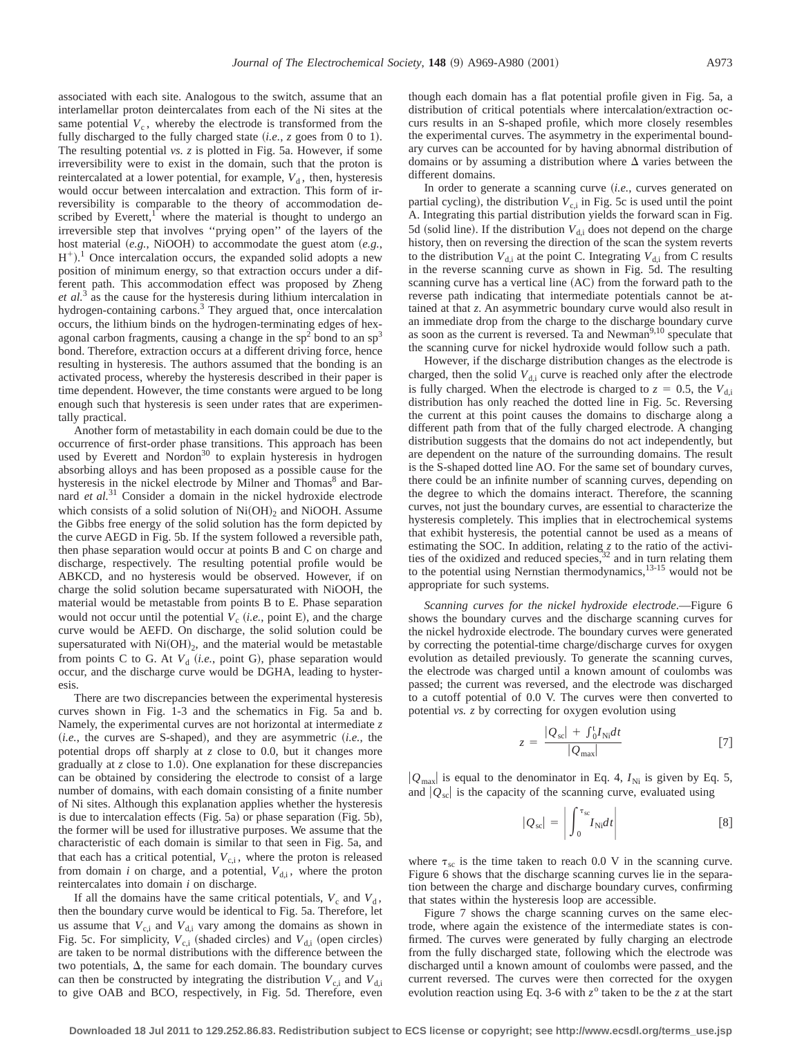associated with each site. Analogous to the switch, assume that an interlamellar proton deintercalates from each of the Ni sites at the same potential  $V_c$ , whereby the electrode is transformed from the fully discharged to the fully charged state  $(i.e., z$  goes from 0 to 1). The resulting potential *vs. z* is plotted in Fig. 5a. However, if some irreversibility were to exist in the domain, such that the proton is reintercalated at a lower potential, for example,  $V<sub>d</sub>$ , then, hysteresis would occur between intercalation and extraction. This form of irreversibility is comparable to the theory of accommodation described by Everett,<sup>1</sup> where the material is thought to undergo an irreversible step that involves ''prying open'' of the layers of the host material  $(e.g., NiOOH)$  to accommodate the guest atom  $(e.g.,$  $H^+$ ).<sup>1</sup> Once intercalation occurs, the expanded solid adopts a new position of minimum energy, so that extraction occurs under a different path. This accommodation effect was proposed by Zheng *et al.*<sup>3</sup> as the cause for the hysteresis during lithium intercalation in hydrogen-containing carbons.<sup>3</sup> They argued that, once intercalation occurs, the lithium binds on the hydrogen-terminating edges of hexagonal carbon fragments, causing a change in the  $sp<sup>2</sup>$  bond to an  $sp<sup>3</sup>$ bond. Therefore, extraction occurs at a different driving force, hence resulting in hysteresis. The authors assumed that the bonding is an activated process, whereby the hysteresis described in their paper is time dependent. However, the time constants were argued to be long enough such that hysteresis is seen under rates that are experimentally practical.

Another form of metastability in each domain could be due to the occurrence of first-order phase transitions. This approach has been used by Everett and Nordon<sup>30</sup> to explain hysteresis in hydrogen absorbing alloys and has been proposed as a possible cause for the hysteresis in the nickel electrode by Milner and Thomas<sup>8</sup> and Barnard *et al.*<sup>31</sup> Consider a domain in the nickel hydroxide electrode which consists of a solid solution of  $Ni(OH)_2$  and NiOOH. Assume the Gibbs free energy of the solid solution has the form depicted by the curve AEGD in Fig. 5b. If the system followed a reversible path, then phase separation would occur at points B and C on charge and discharge, respectively. The resulting potential profile would be ABKCD, and no hysteresis would be observed. However, if on charge the solid solution became supersaturated with NiOOH, the material would be metastable from points B to E. Phase separation would not occur until the potential  $V_c$  (*i.e.*, point E), and the charge curve would be AEFD. On discharge, the solid solution could be supersaturated with  $Ni(OH)_2$ , and the material would be metastable from points C to G. At  $V_d$  (*i.e.*, point G), phase separation would occur, and the discharge curve would be DGHA, leading to hysteresis.

There are two discrepancies between the experimental hysteresis curves shown in Fig. 1-3 and the schematics in Fig. 5a and b. Namely, the experimental curves are not horizontal at intermediate *z*  $(i.e.,$  the curves are S-shaped), and they are asymmetric  $(i.e.,$  the potential drops off sharply at *z* close to 0.0, but it changes more gradually at  $z$  close to 1.0). One explanation for these discrepancies can be obtained by considering the electrode to consist of a large number of domains, with each domain consisting of a finite number of Ni sites. Although this explanation applies whether the hysteresis is due to intercalation effects (Fig. 5a) or phase separation (Fig. 5b), the former will be used for illustrative purposes. We assume that the characteristic of each domain is similar to that seen in Fig. 5a, and that each has a critical potential,  $V_{c,i}$ , where the proton is released from domain  $i$  on charge, and a potential,  $V_{d,i}$ , where the proton reintercalates into domain *i* on discharge.

If all the domains have the same critical potentials,  $V_c$  and  $V_d$ , then the boundary curve would be identical to Fig. 5a. Therefore, let us assume that  $V_{c,i}$  and  $V_{d,i}$  vary among the domains as shown in Fig. 5c. For simplicity,  $V_{c,i}$  (shaded circles) and  $V_{di}$  (open circles) are taken to be normal distributions with the difference between the two potentials,  $\Delta$ , the same for each domain. The boundary curves can then be constructed by integrating the distribution  $V_{\text{c,i}}$  and  $V_{\text{d,i}}$ to give OAB and BCO, respectively, in Fig. 5d. Therefore, even though each domain has a flat potential profile given in Fig. 5a, a distribution of critical potentials where intercalation/extraction occurs results in an S-shaped profile, which more closely resembles the experimental curves. The asymmetry in the experimental boundary curves can be accounted for by having abnormal distribution of domains or by assuming a distribution where  $\Delta$  varies between the different domains.

In order to generate a scanning curve *(i.e., curves generated on* partial cycling), the distribution  $V_{c,i}$  in Fig. 5c is used until the point A. Integrating this partial distribution yields the forward scan in Fig. 5d (solid line). If the distribution  $V_{d,i}$  does not depend on the charge history, then on reversing the direction of the scan the system reverts to the distribution  $V_{\text{d,i}}$  at the point C. Integrating  $V_{\text{d,i}}$  from C results in the reverse scanning curve as shown in Fig. 5d. The resulting scanning curve has a vertical line  $(AC)$  from the forward path to the reverse path indicating that intermediate potentials cannot be attained at that *z*. An asymmetric boundary curve would also result in an immediate drop from the charge to the discharge boundary curve as soon as the current is reversed. Ta and Newman<sup>9,10</sup> speculate that the scanning curve for nickel hydroxide would follow such a path.

However, if the discharge distribution changes as the electrode is charged, then the solid  $V_{\text{di}}$  curve is reached only after the electrode is fully charged. When the electrode is charged to  $z = 0.5$ , the  $V_{\text{d,i}}$ distribution has only reached the dotted line in Fig. 5c. Reversing the current at this point causes the domains to discharge along a different path from that of the fully charged electrode. A changing distribution suggests that the domains do not act independently, but are dependent on the nature of the surrounding domains. The result is the S-shaped dotted line AO. For the same set of boundary curves, there could be an infinite number of scanning curves, depending on the degree to which the domains interact. Therefore, the scanning curves, not just the boundary curves, are essential to characterize the hysteresis completely. This implies that in electrochemical systems that exhibit hysteresis, the potential cannot be used as a means of estimating the SOC. In addition, relating *z* to the ratio of the activities of the oxidized and reduced species,  $32$  and in turn relating them to the potential using Nernstian thermodynamics, $13-15$  would not be appropriate for such systems.

*Scanning curves for the nickel hydroxide electrode*.—Figure 6 shows the boundary curves and the discharge scanning curves for the nickel hydroxide electrode. The boundary curves were generated by correcting the potential-time charge/discharge curves for oxygen evolution as detailed previously. To generate the scanning curves, the electrode was charged until a known amount of coulombs was passed; the current was reversed, and the electrode was discharged to a cutoff potential of 0.0 V. The curves were then converted to potential *vs. z* by correcting for oxygen evolution using

$$
z = \frac{|Q_{\rm sc}| + \int_0^t I_{\rm Ni} dt}{|Q_{\rm max}|} \tag{7}
$$

 $|Q_{\text{max}}|$  is equal to the denominator in Eq. 4,  $I_{\text{Ni}}$  is given by Eq. 5, and  $|Q_{\rm sc}|$  is the capacity of the scanning curve, evaluated using

$$
|Q_{\rm sc}| = \left| \int_0^{\tau_{\rm sc}} I_{\rm Ni} dt \right| \tag{8}
$$

where  $\tau_{sc}$  is the time taken to reach 0.0 V in the scanning curve. Figure 6 shows that the discharge scanning curves lie in the separation between the charge and discharge boundary curves, confirming that states within the hysteresis loop are accessible.

Figure 7 shows the charge scanning curves on the same electrode, where again the existence of the intermediate states is confirmed. The curves were generated by fully charging an electrode from the fully discharged state, following which the electrode was discharged until a known amount of coulombs were passed, and the current reversed. The curves were then corrected for the oxygen evolution reaction using Eq. 3-6 with  $z^{\circ}$  taken to be the *z* at the start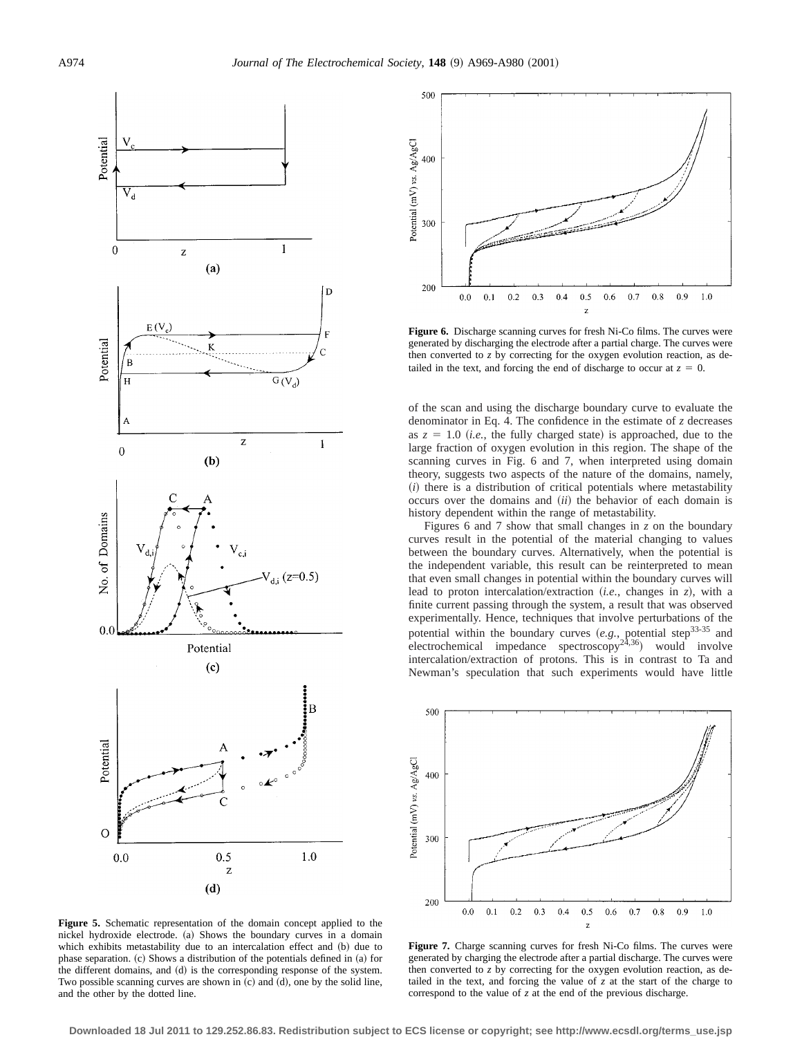

**Figure 5.** Schematic representation of the domain concept applied to the nickel hydroxide electrode. (a) Shows the boundary curves in a domain which exhibits metastability due to an intercalation effect and (b) due to phase separation.  $(c)$  Shows a distribution of the potentials defined in  $(a)$  for the different domains, and (d) is the corresponding response of the system. Two possible scanning curves are shown in  $(c)$  and  $(d)$ , one by the solid line, and the other by the dotted line.



Figure 6. Discharge scanning curves for fresh Ni-Co films. The curves were generated by discharging the electrode after a partial charge. The curves were then converted to *z* by correcting for the oxygen evolution reaction, as detailed in the text, and forcing the end of discharge to occur at  $z = 0$ .

of the scan and using the discharge boundary curve to evaluate the denominator in Eq. 4. The confidence in the estimate of *z* decreases as  $z = 1.0$  (*i.e.*, the fully charged state) is approached, due to the large fraction of oxygen evolution in this region. The shape of the scanning curves in Fig. 6 and 7, when interpreted using domain theory, suggests two aspects of the nature of the domains, namely,  $(i)$  there is a distribution of critical potentials where metastability occurs over the domains and  $(ii)$  the behavior of each domain is history dependent within the range of metastability.

Figures 6 and 7 show that small changes in *z* on the boundary curves result in the potential of the material changing to values between the boundary curves. Alternatively, when the potential is the independent variable, this result can be reinterpreted to mean that even small changes in potential within the boundary curves will lead to proton intercalation/extraction (*i.e.*, changes in *z*), with a finite current passing through the system, a result that was observed experimentally. Hence, techniques that involve perturbations of the potential within the boundary curves  $(e.g.,$  potential step<sup>33-35</sup> and electrochemical impedance spectroscopy<sup>24,36</sup>) would involve intercalation/extraction of protons. This is in contrast to Ta and Newman's speculation that such experiments would have little



**Figure 7.** Charge scanning curves for fresh Ni-Co films. The curves were generated by charging the electrode after a partial discharge. The curves were then converted to *z* by correcting for the oxygen evolution reaction, as detailed in the text, and forcing the value of  $z$  at the start of the charge to correspond to the value of *z* at the end of the previous discharge.

**Downloaded 18 Jul 2011 to 129.252.86.83. Redistribution subject to ECS license or copyright; see http://www.ecsdl.org/terms\_use.jsp**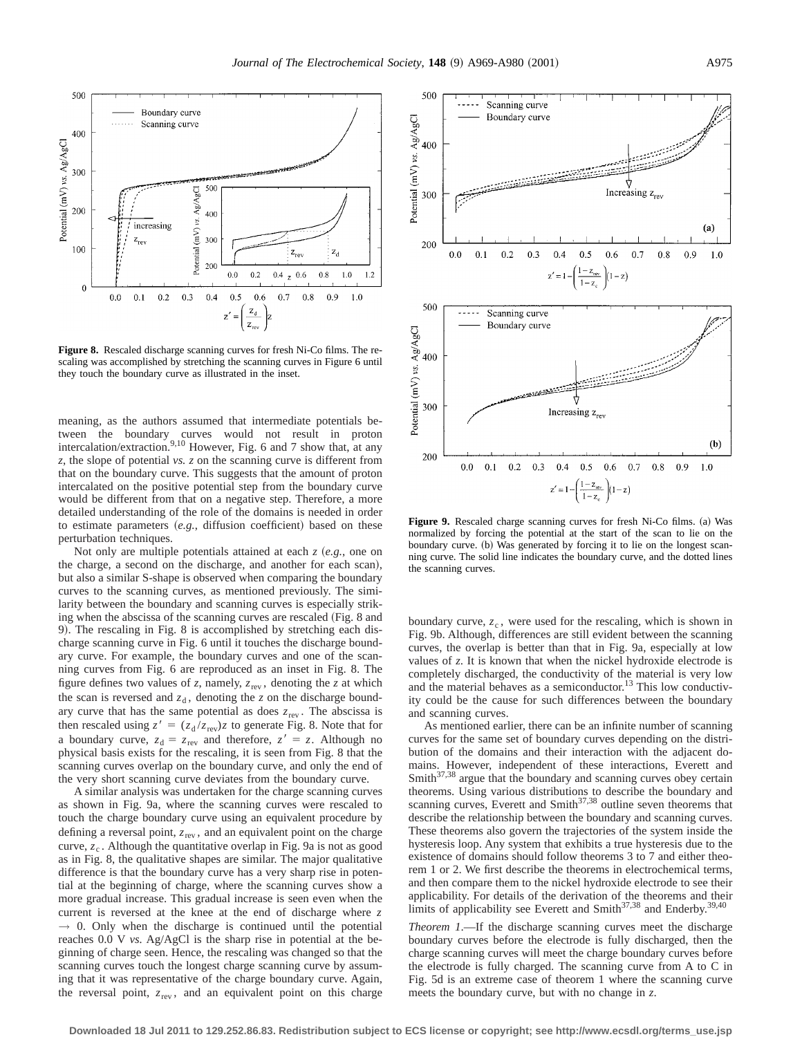

**Figure 8.** Rescaled discharge scanning curves for fresh Ni-Co films. The rescaling was accomplished by stretching the scanning curves in Figure 6 until they touch the boundary curve as illustrated in the inset.

meaning, as the authors assumed that intermediate potentials between the boundary curves would not result in proton intercalation/extraction.<sup>9,10</sup> However, Fig. 6 and 7 show that, at any *z*, the slope of potential *vs. z* on the scanning curve is different from that on the boundary curve. This suggests that the amount of proton intercalated on the positive potential step from the boundary curve would be different from that on a negative step. Therefore, a more detailed understanding of the role of the domains is needed in order to estimate parameters (e.g., diffusion coefficient) based on these perturbation techniques.

Not only are multiple potentials attained at each  $z$   $(e.g.,)$  one on the charge, a second on the discharge, and another for each scan), but also a similar S-shape is observed when comparing the boundary curves to the scanning curves, as mentioned previously. The similarity between the boundary and scanning curves is especially striking when the abscissa of the scanning curves are rescaled (Fig. 8 and 9). The rescaling in Fig. 8 is accomplished by stretching each discharge scanning curve in Fig. 6 until it touches the discharge boundary curve. For example, the boundary curves and one of the scanning curves from Fig. 6 are reproduced as an inset in Fig. 8. The figure defines two values of *z*, namely,  $z_{\text{rev}}$ , denoting the *z* at which the scan is reversed and  $z_d$ , denoting the *z* on the discharge boundary curve that has the same potential as does  $z_{\text{rev}}$ . The abscissa is then rescaled using  $z' = (z_d / z_{\text{rev}})z$  to generate Fig. 8. Note that for a boundary curve,  $z_d = z_{rev}$  and therefore,  $z' = z$ . Although no physical basis exists for the rescaling, it is seen from Fig. 8 that the scanning curves overlap on the boundary curve, and only the end of the very short scanning curve deviates from the boundary curve.

A similar analysis was undertaken for the charge scanning curves as shown in Fig. 9a, where the scanning curves were rescaled to touch the charge boundary curve using an equivalent procedure by defining a reversal point,  $z_{\text{rev}}$ , and an equivalent point on the charge curve,  $z_c$ . Although the quantitative overlap in Fig. 9a is not as good as in Fig. 8, the qualitative shapes are similar. The major qualitative difference is that the boundary curve has a very sharp rise in potential at the beginning of charge, where the scanning curves show a more gradual increase. This gradual increase is seen even when the current is reversed at the knee at the end of discharge where *z*  $\rightarrow$  0. Only when the discharge is continued until the potential reaches 0.0 V *vs.* Ag/AgCl is the sharp rise in potential at the beginning of charge seen. Hence, the rescaling was changed so that the scanning curves touch the longest charge scanning curve by assuming that it was representative of the charge boundary curve. Again, the reversal point,  $z_{\text{rev}}$ , and an equivalent point on this charge



**Figure 9.** Rescaled charge scanning curves for fresh Ni-Co films. (a) Was normalized by forcing the potential at the start of the scan to lie on the boundary curve. (b) Was generated by forcing it to lie on the longest scanning curve. The solid line indicates the boundary curve, and the dotted lines the scanning curves.

boundary curve,  $z_c$ , were used for the rescaling, which is shown in Fig. 9b. Although, differences are still evident between the scanning curves, the overlap is better than that in Fig. 9a, especially at low values of *z*. It is known that when the nickel hydroxide electrode is completely discharged, the conductivity of the material is very low and the material behaves as a semiconductor.<sup>13</sup> This low conductivity could be the cause for such differences between the boundary and scanning curves.

As mentioned earlier, there can be an infinite number of scanning curves for the same set of boundary curves depending on the distribution of the domains and their interaction with the adjacent domains. However, independent of these interactions, Everett and Smith<sup>37,38</sup> argue that the boundary and scanning curves obey certain theorems. Using various distributions to describe the boundary and scanning curves, Everett and Smith $37,38$  outline seven theorems that describe the relationship between the boundary and scanning curves. These theorems also govern the trajectories of the system inside the hysteresis loop. Any system that exhibits a true hysteresis due to the existence of domains should follow theorems 3 to 7 and either theorem 1 or 2. We first describe the theorems in electrochemical terms, and then compare them to the nickel hydroxide electrode to see their applicability. For details of the derivation of the theorems and their limits of applicability see Everett and Smith $37,38$  and Enderby. $39,40$ 

*Theorem 1*.—If the discharge scanning curves meet the discharge boundary curves before the electrode is fully discharged, then the charge scanning curves will meet the charge boundary curves before the electrode is fully charged. The scanning curve from A to C in Fig. 5d is an extreme case of theorem 1 where the scanning curve meets the boundary curve, but with no change in *z*.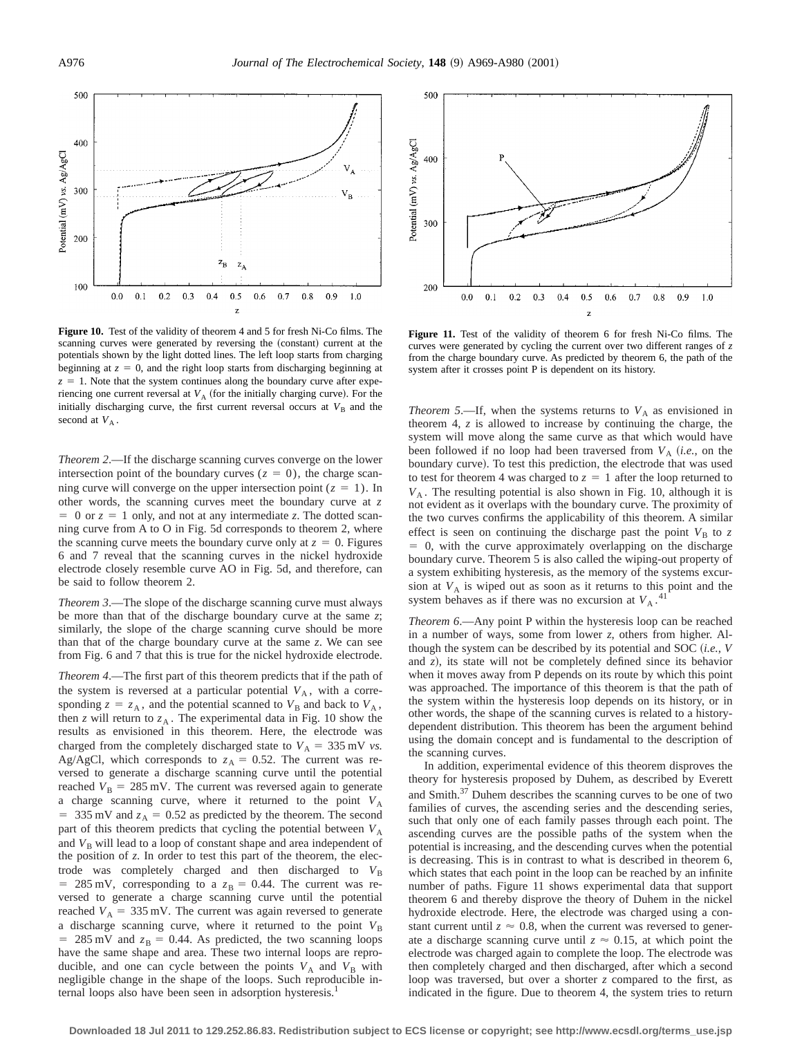

**Figure 10.** Test of the validity of theorem 4 and 5 for fresh Ni-Co films. The scanning curves were generated by reversing the (constant) current at the potentials shown by the light dotted lines. The left loop starts from charging beginning at  $z = 0$ , and the right loop starts from discharging beginning at  $z = 1$ . Note that the system continues along the boundary curve after experiencing one current reversal at  $V_A$  (for the initially charging curve). For the initially discharging curve, the first current reversal occurs at  $V<sub>B</sub>$  and the second at  $V_A$ .

*Theorem 2*.—If the discharge scanning curves converge on the lower intersection point of the boundary curves  $(z = 0)$ , the charge scanning curve will converge on the upper intersection point ( $z = 1$ ). In other words, the scanning curves meet the boundary curve at *z*  $= 0$  or  $z = 1$  only, and not at any intermediate *z*. The dotted scanning curve from A to O in Fig. 5d corresponds to theorem 2, where the scanning curve meets the boundary curve only at  $z = 0$ . Figures 6 and 7 reveal that the scanning curves in the nickel hydroxide electrode closely resemble curve AO in Fig. 5d, and therefore, can be said to follow theorem 2.

*Theorem 3*.—The slope of the discharge scanning curve must always be more than that of the discharge boundary curve at the same *z*; similarly, the slope of the charge scanning curve should be more than that of the charge boundary curve at the same *z*. We can see from Fig. 6 and 7 that this is true for the nickel hydroxide electrode.

*Theorem 4*.—The first part of this theorem predicts that if the path of the system is reversed at a particular potential  $V_A$ , with a corresponding  $z = z_A$ , and the potential scanned to  $V_B$  and back to  $V_A$ , then  $z$  will return to  $z_A$ . The experimental data in Fig. 10 show the results as envisioned in this theorem. Here, the electrode was charged from the completely discharged state to  $V_A = 335$  mV *vs.* Ag/AgCl, which corresponds to  $z_A = 0.52$ . The current was reversed to generate a discharge scanning curve until the potential reached  $V<sub>B</sub> = 285$  mV. The current was reversed again to generate a charge scanning curve, where it returned to the point  $V_A$ 335 mV and  $z_A = 0.52$  as predicted by the theorem. The second part of this theorem predicts that cycling the potential between  $V_A$ and  $V<sub>B</sub>$  will lead to a loop of constant shape and area independent of the position of *z*. In order to test this part of the theorem, the electrode was completely charged and then discharged to  $V_B$  $= 285$  mV, corresponding to a  $z_B = 0.44$ . The current was reversed to generate a charge scanning curve until the potential reached  $V_A = 335$  mV. The current was again reversed to generate a discharge scanning curve, where it returned to the point  $V_{\text{B}}$  $= 285 \text{ mV}$  and  $z_B = 0.44$ . As predicted, the two scanning loops have the same shape and area. These two internal loops are reproducible, and one can cycle between the points  $V_A$  and  $V_B$  with negligible change in the shape of the loops. Such reproducible internal loops also have been seen in adsorption hysteresis.<sup>1</sup>



**Figure 11.** Test of the validity of theorem 6 for fresh Ni-Co films. The curves were generated by cycling the current over two different ranges of *z* from the charge boundary curve. As predicted by theorem 6, the path of the system after it crosses point P is dependent on its history.

*Theorem 5*.—If, when the systems returns to  $V_A$  as envisioned in theorem 4, *z* is allowed to increase by continuing the charge, the system will move along the same curve as that which would have been followed if no loop had been traversed from  $V_A$  (*i.e.*, on the boundary curve). To test this prediction, the electrode that was used to test for theorem 4 was charged to  $z = 1$  after the loop returned to  $V_A$ . The resulting potential is also shown in Fig. 10, although it is not evident as it overlaps with the boundary curve. The proximity of the two curves confirms the applicability of this theorem. A similar effect is seen on continuing the discharge past the point  $V_B$  to  $z$  $= 0$ , with the curve approximately overlapping on the discharge boundary curve. Theorem 5 is also called the wiping-out property of a system exhibiting hysteresis, as the memory of the systems excursion at  $V_A$  is wiped out as soon as it returns to this point and the system behaves as if there was no excursion at  $V_A$ .<sup>41</sup>

*Theorem 6*.—Any point P within the hysteresis loop can be reached in a number of ways, some from lower *z*, others from higher. Although the system can be described by its potential and SOC  $(i.e., V)$ and *z*), its state will not be completely defined since its behavior when it moves away from P depends on its route by which this point was approached. The importance of this theorem is that the path of the system within the hysteresis loop depends on its history, or in other words, the shape of the scanning curves is related to a historydependent distribution. This theorem has been the argument behind using the domain concept and is fundamental to the description of the scanning curves.

In addition, experimental evidence of this theorem disproves the theory for hysteresis proposed by Duhem, as described by Everett and Smith.37 Duhem describes the scanning curves to be one of two families of curves, the ascending series and the descending series, such that only one of each family passes through each point. The ascending curves are the possible paths of the system when the potential is increasing, and the descending curves when the potential is decreasing. This is in contrast to what is described in theorem 6, which states that each point in the loop can be reached by an infinite number of paths. Figure 11 shows experimental data that support theorem 6 and thereby disprove the theory of Duhem in the nickel hydroxide electrode. Here, the electrode was charged using a constant current until  $z \approx 0.8$ , when the current was reversed to generate a discharge scanning curve until  $z \approx 0.15$ , at which point the electrode was charged again to complete the loop. The electrode was then completely charged and then discharged, after which a second loop was traversed, but over a shorter *z* compared to the first, as indicated in the figure. Due to theorem 4, the system tries to return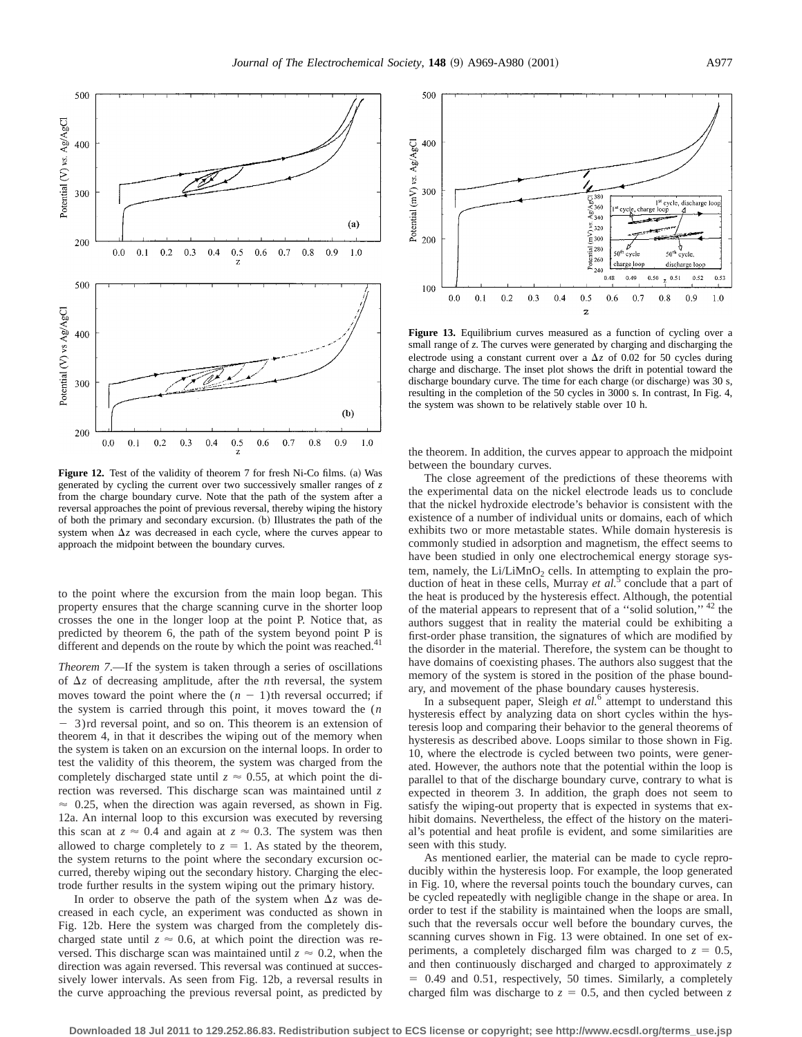

Figure 12. Test of the validity of theorem 7 for fresh Ni-Co films. (a) Was generated by cycling the current over two successively smaller ranges of *z* from the charge boundary curve. Note that the path of the system after a reversal approaches the point of previous reversal, thereby wiping the history of both the primary and secondary excursion. (b) Illustrates the path of the system when  $\Delta z$  was decreased in each cycle, where the curves appear to approach the midpoint between the boundary curves.

to the point where the excursion from the main loop began. This property ensures that the charge scanning curve in the shorter loop crosses the one in the longer loop at the point P. Notice that, as predicted by theorem 6, the path of the system beyond point P is different and depends on the route by which the point was reached.<sup>41</sup>

*Theorem 7*.—If the system is taken through a series of oscillations of  $\Delta z$  of decreasing amplitude, after the *n*th reversal, the system moves toward the point where the  $(n - 1)$ th reversal occurred; if the system is carried through this point, it moves toward the (*n* 2 3)rd reversal point, and so on. This theorem is an extension of theorem 4, in that it describes the wiping out of the memory when the system is taken on an excursion on the internal loops. In order to test the validity of this theorem, the system was charged from the completely discharged state until  $z \approx 0.55$ , at which point the direction was reversed. This discharge scan was maintained until *z*  $\approx$  0.25, when the direction was again reversed, as shown in Fig. 12a. An internal loop to this excursion was executed by reversing this scan at  $z \approx 0.4$  and again at  $z \approx 0.3$ . The system was then allowed to charge completely to  $z = 1$ . As stated by the theorem, the system returns to the point where the secondary excursion occurred, thereby wiping out the secondary history. Charging the electrode further results in the system wiping out the primary history.

In order to observe the path of the system when  $\Delta z$  was decreased in each cycle, an experiment was conducted as shown in Fig. 12b. Here the system was charged from the completely discharged state until  $z \approx 0.6$ , at which point the direction was reversed. This discharge scan was maintained until  $z \approx 0.2$ , when the direction was again reversed. This reversal was continued at successively lower intervals. As seen from Fig. 12b, a reversal results in the curve approaching the previous reversal point, as predicted by



**Figure 13.** Equilibrium curves measured as a function of cycling over a small range of *z*. The curves were generated by charging and discharging the electrode using a constant current over a  $\Delta z$  of 0.02 for 50 cycles during charge and discharge. The inset plot shows the drift in potential toward the discharge boundary curve. The time for each charge (or discharge) was 30 s, resulting in the completion of the 50 cycles in 3000 s. In contrast, In Fig. 4, the system was shown to be relatively stable over 10 h.

the theorem. In addition, the curves appear to approach the midpoint between the boundary curves.

The close agreement of the predictions of these theorems with the experimental data on the nickel electrode leads us to conclude that the nickel hydroxide electrode's behavior is consistent with the existence of a number of individual units or domains, each of which exhibits two or more metastable states. While domain hysteresis is commonly studied in adsorption and magnetism, the effect seems to have been studied in only one electrochemical energy storage system, namely, the  $Li/LiMnO<sub>2</sub>$  cells. In attempting to explain the production of heat in these cells, Murray *et al.*<sup>5</sup> conclude that a part of the heat is produced by the hysteresis effect. Although, the potential of the material appears to represent that of a ''solid solution,'' <sup>42</sup> the authors suggest that in reality the material could be exhibiting a first-order phase transition, the signatures of which are modified by the disorder in the material. Therefore, the system can be thought to have domains of coexisting phases. The authors also suggest that the memory of the system is stored in the position of the phase boundary, and movement of the phase boundary causes hysteresis.

In a subsequent paper, Sleigh *et al.*<sup>6</sup> attempt to understand this hysteresis effect by analyzing data on short cycles within the hysteresis loop and comparing their behavior to the general theorems of hysteresis as described above. Loops similar to those shown in Fig. 10, where the electrode is cycled between two points, were generated. However, the authors note that the potential within the loop is parallel to that of the discharge boundary curve, contrary to what is expected in theorem 3. In addition, the graph does not seem to satisfy the wiping-out property that is expected in systems that exhibit domains. Nevertheless, the effect of the history on the material's potential and heat profile is evident, and some similarities are seen with this study.

As mentioned earlier, the material can be made to cycle reproducibly within the hysteresis loop. For example, the loop generated in Fig. 10, where the reversal points touch the boundary curves, can be cycled repeatedly with negligible change in the shape or area. In order to test if the stability is maintained when the loops are small, such that the reversals occur well before the boundary curves, the scanning curves shown in Fig. 13 were obtained. In one set of experiments, a completely discharged film was charged to  $z = 0.5$ , and then continuously discharged and charged to approximately *z* 5 0.49 and 0.51, respectively, 50 times. Similarly, a completely charged film was discharge to  $z = 0.5$ , and then cycled between z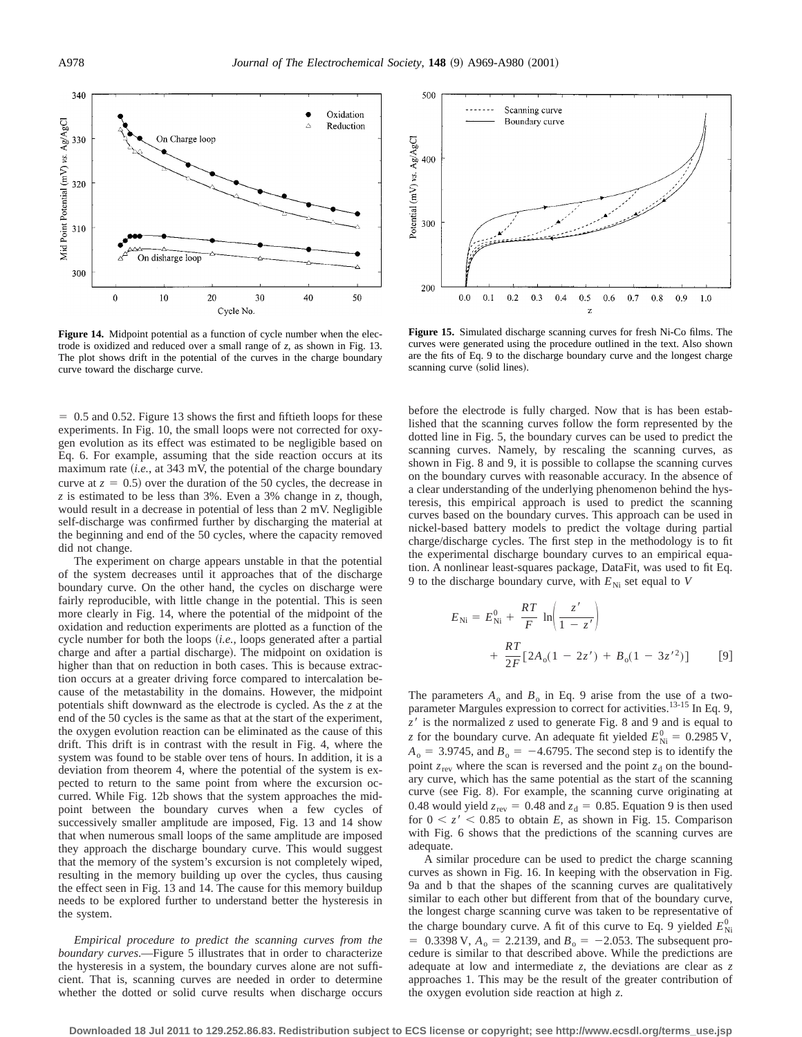

**Figure 14.** Midpoint potential as a function of cycle number when the electrode is oxidized and reduced over a small range of *z*, as shown in Fig. 13. The plot shows drift in the potential of the curves in the charge boundary curve toward the discharge curve.

 $= 0.5$  and 0.52. Figure 13 shows the first and fiftieth loops for these experiments. In Fig. 10, the small loops were not corrected for oxygen evolution as its effect was estimated to be negligible based on Eq. 6. For example, assuming that the side reaction occurs at its maximum rate  $(i.e., at 343 \text{ mV},$  the potential of the charge boundary curve at  $z = 0.5$ ) over the duration of the 50 cycles, the decrease in *z* is estimated to be less than 3%. Even a 3% change in *z*, though, would result in a decrease in potential of less than 2 mV. Negligible self-discharge was confirmed further by discharging the material at the beginning and end of the 50 cycles, where the capacity removed did not change.

The experiment on charge appears unstable in that the potential of the system decreases until it approaches that of the discharge boundary curve. On the other hand, the cycles on discharge were fairly reproducible, with little change in the potential. This is seen more clearly in Fig. 14, where the potential of the midpoint of the oxidation and reduction experiments are plotted as a function of the cycle number for both the loops (*i.e.*, loops generated after a partial charge and after a partial discharge). The midpoint on oxidation is higher than that on reduction in both cases. This is because extraction occurs at a greater driving force compared to intercalation because of the metastability in the domains. However, the midpoint potentials shift downward as the electrode is cycled. As the *z* at the end of the 50 cycles is the same as that at the start of the experiment, the oxygen evolution reaction can be eliminated as the cause of this drift. This drift is in contrast with the result in Fig. 4, where the system was found to be stable over tens of hours. In addition, it is a deviation from theorem 4, where the potential of the system is expected to return to the same point from where the excursion occurred. While Fig. 12b shows that the system approaches the midpoint between the boundary curves when a few cycles of successively smaller amplitude are imposed, Fig. 13 and 14 show that when numerous small loops of the same amplitude are imposed they approach the discharge boundary curve. This would suggest that the memory of the system's excursion is not completely wiped, resulting in the memory building up over the cycles, thus causing the effect seen in Fig. 13 and 14. The cause for this memory buildup needs to be explored further to understand better the hysteresis in the system.

*Empirical procedure to predict the scanning curves from the boundary curves*.—Figure 5 illustrates that in order to characterize the hysteresis in a system, the boundary curves alone are not sufficient. That is, scanning curves are needed in order to determine whether the dotted or solid curve results when discharge occurs



**Figure 15.** Simulated discharge scanning curves for fresh Ni-Co films. The curves were generated using the procedure outlined in the text. Also shown are the fits of Eq. 9 to the discharge boundary curve and the longest charge scanning curve (solid lines).

before the electrode is fully charged. Now that is has been established that the scanning curves follow the form represented by the dotted line in Fig. 5, the boundary curves can be used to predict the scanning curves. Namely, by rescaling the scanning curves, as shown in Fig. 8 and 9, it is possible to collapse the scanning curves on the boundary curves with reasonable accuracy. In the absence of a clear understanding of the underlying phenomenon behind the hysteresis, this empirical approach is used to predict the scanning curves based on the boundary curves. This approach can be used in nickel-based battery models to predict the voltage during partial charge/discharge cycles. The first step in the methodology is to fit the experimental discharge boundary curves to an empirical equation. A nonlinear least-squares package, DataFit, was used to fit Eq. 9 to the discharge boundary curve, with  $E_{\text{Ni}}$  set equal to *V* 

$$
E_{\text{Ni}} = E_{\text{Ni}}^{0} + \frac{RT}{F} \ln\left(\frac{z'}{1 - z'}\right)
$$
  
+ 
$$
\frac{RT}{2F} [2A_{0}(1 - 2z') + B_{0}(1 - 3z'^{2})]
$$
[9]

The parameters  $A_0$  and  $B_0$  in Eq. 9 arise from the use of a twoparameter Margules expression to correct for activities.<sup>13-15</sup> In Eq. 9,  $z<sup>8</sup>$  is the normalized *z* used to generate Fig. 8 and 9 and is equal to *z* for the boundary curve. An adequate fit yielded  $E_{\text{Ni}}^0 = 0.2985 \text{ V}$ ,  $A_0 = 3.9745$ , and  $B_0 = -4.6795$ . The second step is to identify the point  $z_{\text{rev}}$  where the scan is reversed and the point  $z_d$  on the boundary curve, which has the same potential as the start of the scanning curve (see Fig. 8). For example, the scanning curve originating at 0.48 would yield  $z_{\text{rev}} = 0.48$  and  $z_d = 0.85$ . Equation 9 is then used for  $0 \le z' \le 0.85$  to obtain *E*, as shown in Fig. 15. Comparison with Fig. 6 shows that the predictions of the scanning curves are adequate.

A similar procedure can be used to predict the charge scanning curves as shown in Fig. 16. In keeping with the observation in Fig. 9a and b that the shapes of the scanning curves are qualitatively similar to each other but different from that of the boundary curve, the longest charge scanning curve was taken to be representative of the charge boundary curve. A fit of this curve to Eq. 9 yielded  $E_{Ni}^{0}$  $= 0.3398$  V,  $A_0 = 2.2139$ , and  $B_0 = -2.053$ . The subsequent procedure is similar to that described above. While the predictions are adequate at low and intermediate *z*, the deviations are clear as *z* approaches 1. This may be the result of the greater contribution of the oxygen evolution side reaction at high *z*.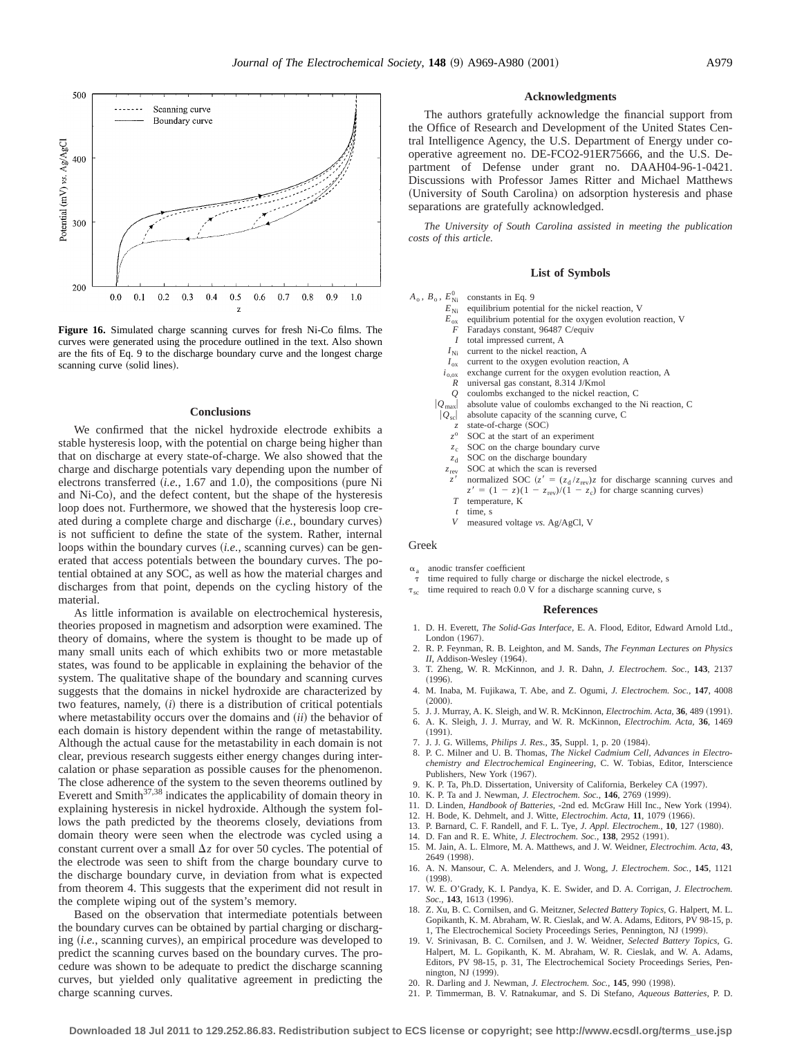

**Figure 16.** Simulated charge scanning curves for fresh Ni-Co films. The curves were generated using the procedure outlined in the text. Also shown are the fits of Eq. 9 to the discharge boundary curve and the longest charge scanning curve (solid lines).

#### **Conclusions**

We confirmed that the nickel hydroxide electrode exhibits a stable hysteresis loop, with the potential on charge being higher than that on discharge at every state-of-charge. We also showed that the charge and discharge potentials vary depending upon the number of electrons transferred  $(i.e., 1.67$  and 1.0), the compositions (pure Ni and Ni-Co), and the defect content, but the shape of the hysteresis loop does not. Furthermore, we showed that the hysteresis loop created during a complete charge and discharge  $(i.e., boundary curves)$ is not sufficient to define the state of the system. Rather, internal loops within the boundary curves (*i.e.*, scanning curves) can be generated that access potentials between the boundary curves. The potential obtained at any SOC, as well as how the material charges and discharges from that point, depends on the cycling history of the material.

As little information is available on electrochemical hysteresis, theories proposed in magnetism and adsorption were examined. The theory of domains, where the system is thought to be made up of many small units each of which exhibits two or more metastable states, was found to be applicable in explaining the behavior of the system. The qualitative shape of the boundary and scanning curves suggests that the domains in nickel hydroxide are characterized by two features, namely,  $(i)$  there is a distribution of critical potentials where metastability occurs over the domains and  $(ii)$  the behavior of each domain is history dependent within the range of metastability. Although the actual cause for the metastability in each domain is not clear, previous research suggests either energy changes during intercalation or phase separation as possible causes for the phenomenon. The close adherence of the system to the seven theorems outlined by Everett and Smith $37,38$  indicates the applicability of domain theory in explaining hysteresis in nickel hydroxide. Although the system follows the path predicted by the theorems closely, deviations from domain theory were seen when the electrode was cycled using a constant current over a small  $\Delta z$  for over 50 cycles. The potential of the electrode was seen to shift from the charge boundary curve to the discharge boundary curve, in deviation from what is expected from theorem 4. This suggests that the experiment did not result in the complete wiping out of the system's memory.

Based on the observation that intermediate potentials between the boundary curves can be obtained by partial charging or discharging (i.e., scanning curves), an empirical procedure was developed to predict the scanning curves based on the boundary curves. The procedure was shown to be adequate to predict the discharge scanning curves, but yielded only qualitative agreement in predicting the charge scanning curves.

#### **Acknowledgments**

The authors gratefully acknowledge the financial support from the Office of Research and Development of the United States Central Intelligence Agency, the U.S. Department of Energy under cooperative agreement no. DE-FCO2-91ER75666, and the U.S. Department of Defense under grant no. DAAH04-96-1-0421. Discussions with Professor James Ritter and Michael Matthews (University of South Carolina) on adsorption hysteresis and phase separations are gratefully acknowledged.

*The University of South Carolina assisted in meeting the publication costs of this article.*

#### **List of Symbols**

 $A_0$ ,  $B_0$ ,  $E_{\text{Ni}}^0$  constants in Eq. 9

- $E_{\text{Ni}}$  equilibrium potential for the nickel reaction, V<br> $E_{\text{cv}}$  equilibrium potential for the oxygen evolution
- $E_{ox}$  equilibrium potential for the oxygen evolution reaction, V<br> $F$  Earadays constant 96487 C/equiv
	- *F* Faradays constant, 96487 C/equiv
	- *I* total impressed current, A
	- $I_{\text{Ni}}$  current to the nickel reaction, A
- 
- $I_{\text{ox}}$  current to the oxygen evolution reaction, A exchange current for the oxygen evolution is  $\frac{a}{R}$  exchange current for the oxygen evolution reaction, A<br> $\frac{R}{R}$  universal gas constant 8.314 *I/K* mol
- *R* universal gas constant, 8.314 J/Kmol  $Q$  coulombs exchanged to the nickel read
- *Q* coulombs exchanged to the nickel reaction, C
- $|Q_{\text{max}}|$  absolute value of coulombs exchanged to the Ni reaction, C
- $|Q_{sc}|$  absolute capacity of the scanning curve, C
	- $\overline{z}$  state-of-charge (SOC)<br> $\overline{z}^{\text{o}}$  SOC at the start of an
	- *zo* C at the start of an experiment
	- *z*<sub>c</sub> SOC on the charge boundary curve
	- *z*<sup>d</sup> SOC on the discharge boundary
	- *z*rev SOC at which the scan is reversed
	- *normalized SOC* ( $z' = (z_d / z_{rev})z$  for discharge scanning curves and  $\gamma = (1 - z)(1 - z_{\text{rev}})/(1 - z_{\text{c}})$  for charge scanning curves) *T* temperature, K
	-
	- $t$  time, s<br> $V$  measur *V* measured voltage *vs.* Ag/AgCl, V

Greek

- $\alpha_{\rm a}$  anodic transfer coefficient
- time required to fully charge or discharge the nickel electrode, s
- $\tau_{sc}$  time required to reach 0.0 V for a discharge scanning curve, s

#### **References**

- 1. D. H. Everett, *The Solid-Gas Interface*, E. A. Flood, Editor, Edward Arnold Ltd., London (1967).
- 2. R. P. Feynman, R. B. Leighton, and M. Sands, *The Feynman Lectures on Physics II*, Addison-Wesley (1964).
- 3. T. Zheng, W. R. McKinnon, and J. R. Dahn, *J. Electrochem. Soc.,* **143**, 2137  $(1996).$
- 4. M. Inaba, M. Fujikawa, T. Abe, and Z. Ogumi, *J. Electrochem. Soc.,* **147**, 4008  $(2000)$
- 5. J. J. Murray, A. K. Sleigh, and W. R. McKinnon, *Electrochim. Acta*, 36, 489 (1991). 6. A. K. Sleigh, J. J. Murray, and W. R. McKinnon, *Electrochim. Acta,* **36**, 1469
- $(1991)$
- 7. J. J. G. Willems, *Philips J. Res.*, 35, Suppl. 1, p. 20 (1984).
- 8. P. C. Milner and U. B. Thomas, *The Nickel Cadmium Cell, Advances in Electrochemistry and Electrochemical Engineering*, C. W. Tobias, Editor, Interscience Publishers, New York (1967).
- 9. K. P. Ta, Ph.D. Dissertation, University of California, Berkeley CA (1997).
- 10. K. P. Ta and J. Newman, *J. Electrochem. Soc.*, **146**, 2769 (1999).
- 11. D. Linden, *Handbook of Batteries*, -2nd ed. McGraw Hill Inc., New York (1994).
- 12. H. Bode, K. Dehmelt, and J. Witte, *Electrochim. Acta*, 11, 1079 (1966).
- 13. P. Barnard, C. F. Randell, and F. L. Tye, *J. Appl. Electrochem.*, **10**, 127 (1980).
- 14. D. Fan and R. E. White, *J. Electrochem. Soc.*, **138**, 2952 (1991).
- 15. M. Jain, A. L. Elmore, M. A. Matthews, and J. W. Weidner, *Electrochim. Acta,* **43**, 2649 (1998).
- 16. A. N. Mansour, C. A. Melenders, and J. Wong, *J. Electrochem. Soc.,* **145**, 1121  $(1998).$
- 17. W. E. O'Grady, K. I. Pandya, K. E. Swider, and D. A. Corrigan, *J. Electrochem. Soc.*, **143**, 1613 (1996).
- 18. Z. Xu, B. C. Cornilsen, and G. Meitzner, *Selected Battery Topics*, G. Halpert, M. L. Gopikanth, K. M. Abraham, W. R. Cieslak, and W. A. Adams, Editors, PV 98-15, p. 1, The Electrochemical Society Proceedings Series, Pennington, NJ (1999).
- 19. V. Srinivasan, B. C. Cornilsen, and J. W. Weidner, *Selected Battery Topics*, G. Halpert, M. L. Gopikanth, K. M. Abraham, W. R. Cieslak, and W. A. Adams, Editors, PV 98-15, p. 31, The Electrochemical Society Proceedings Series, Pennington, NJ (1999).
- 20. R. Darling and J. Newman, *J. Electrochem. Soc.*, **145**, 990 (1998).
- 21. P. Timmerman, B. V. Ratnakumar, and S. Di Stefano, *Aqueous Batteries*, P. D.